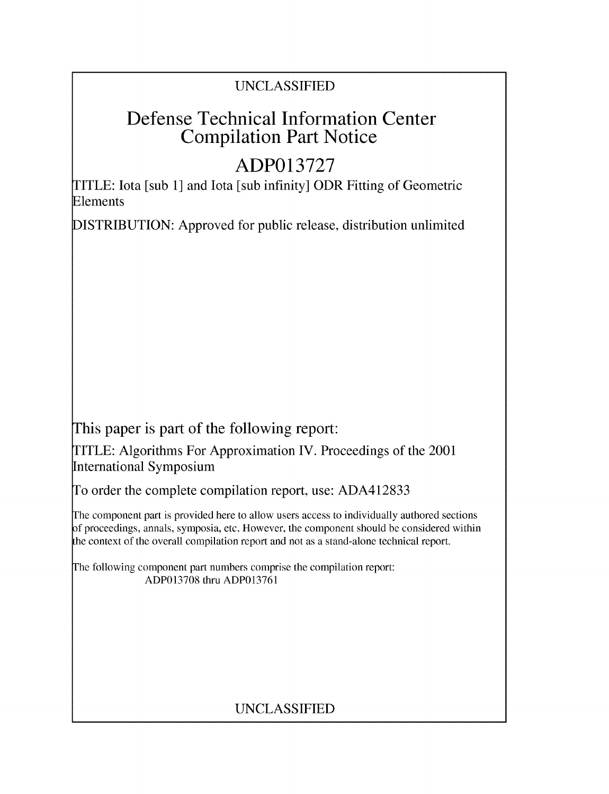## UNCLASSIFIED

# Defense Technical Information Center Compilation Part Notice

# **ADP013727**

TITLE: Iota [sub 1] and Iota [sub infinity] ODR Fitting of Geometric Elements

DISTRIBUTION: Approved for public release, distribution unlimited

This paper is part of the following report:

TITLE: Algorithms For Approximation IV. Proceedings of the 2001 International Symposium

To order the complete compilation report, use: ADA412833

The component part is provided here to allow users access to individually authored sections f proceedings, annals, symposia, etc. However, the component should be considered within the context of the overall compilation report and not as a stand-alone technical report.

The following component part numbers comprise the compilation report: ADP013708 thru ADP013761

## UNCLASSIFIED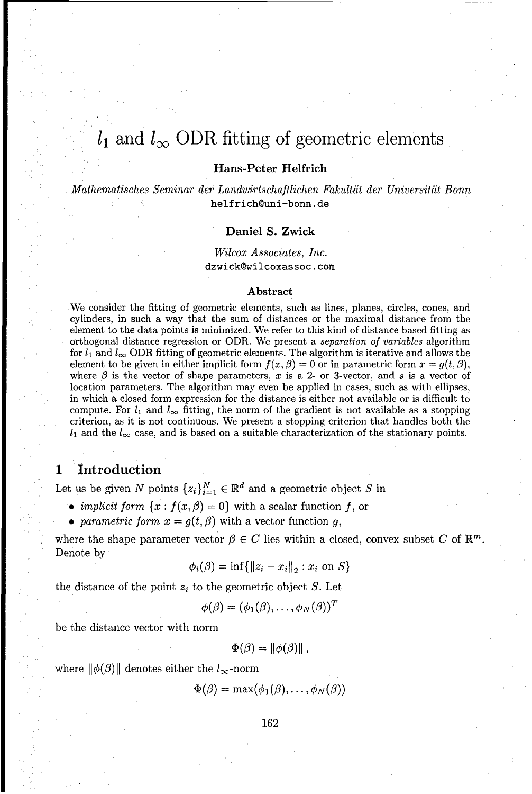## $l_1$  and  $l_{\infty}$  ODR fitting of geometric elements

## Hans-Peter Helfrich

Mathematisches Seminar der *Landwirtschaftlichen Fakultdit* der Universitlit Bonn helfrich@uni-bonn.de

### Daniel **S.** Zwick

### *Wilcox Associates, Inc.* dzwick@wilcoxassoc .com

#### Abstract

We consider the fitting of geometric elements, such as lines, planes, circles, cones, and cylinders, in such a way that the sum of distances or the maximal distance from the element to the data points is minimized. We refer to this kind of distance based fitting as orthogonal distance regression or ODR. We present a *separation of* variables algorithm for  $l_1$  and  $l_{\infty}$  ODR fitting of geometric elements. The algorithm is iterative and allows the element to be given in either implicit form  $f(x, \beta) = 0$  or in parametric form  $x = g(t, \beta)$ , where  $\beta$  is the vector of shape parameters, x is a 2- or 3-vector, and s is a vector of location parameters. The algorithm may even be applied in cases, such as with ellipses, in which a closed form expression for the distance is either not available or is difficult to compute. For  $l_1$  and  $l_{\infty}$  fitting, the norm of the gradient is not available as a stopping criterion, as it is not continuous. We present a stopping criterion that handles both the  $l_1$  and the  $l_\infty$  case, and is based on a suitable characterization of the stationary points.

## **<sup>1</sup>**Introduction

Let us be given N points  $\{z_i\}_{i=1}^N \in \mathbb{R}^d$  and a geometric object S in

- *implicit form*  $\{x : f(x, \beta) = 0\}$  with a scalar function f, or
- *parametric form*  $x = g(t, \beta)$  with a vector function g,

where the shape parameter vector  $\beta \in C$  lies within a closed, convex subset C of  $\mathbb{R}^m$ . Denote by

$$
\phi_i(\beta) = \inf \{ ||z_i - x_i||_2 : x_i \text{ on } S \}
$$

the distance of the point  $z_i$  to the geometric object S. Let

$$
\phi(\beta)=(\phi_1(\beta),\ldots,\phi_N(\beta))^T
$$

be the distance vector with norm

$$
\Phi(\beta)=\|\phi(\beta)\|,
$$

where  $\|\phi(\beta)\|$  denotes either the  $l_{\infty}$ -norm

 $\Phi(\beta) = \max(\phi_1(\beta), \ldots, \phi_N(\beta))$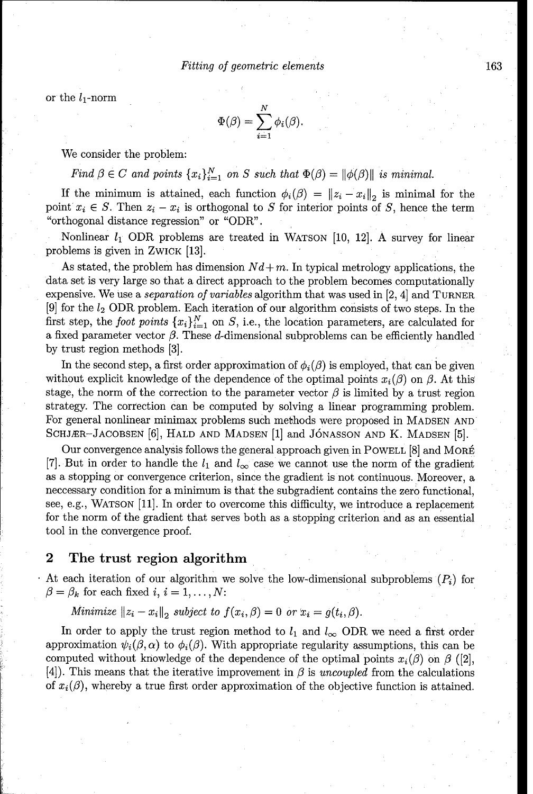or the  $l_1$ -norm

$$
\Phi(\beta) = \sum_{i=1}^N \phi_i(\beta).
$$

We consider the problem:

Find  $\beta \in C$  and points  $\{x_i\}_{i=1}^N$  on S such that  $\Phi(\beta) = ||\phi(\beta)||$  is minimal.

If the minimum is attained, each function  $\phi_i(\beta) = ||z_i - x_i||_2$  is minimal for the point  $x_i \in S$ . Then  $z_i - x_i$  is orthogonal to S for interior points of S, hence the term "orthogonal distance regression" or "ODR".

Nonlinear  $l_1$  ODR problems are treated in WATSON [10, 12]. A survey for linear problems is given in ZWICK [13].

As stated, the problem has dimension  $Nd + m$ . In typical metrology applications, the data set is very large so that a direct approach to the problem becomes computationally expensive. We use a separation *of* variables algorithm that was used in [2, 4] and TURNER  $[9]$  for the  $l_2$  ODR problem. Each iteration of our algorithm consists of two steps. In the first step, the *foot points*  $\{x_i\}_{i=1}^N$  on *S*, i.e., the location parameters, are calculated for a fixed parameter vector  $\beta$ . These d-dimensional subproblems can be efficiently handled by trust region methods [3].

In the second step, a first order approximation of  $\phi_i(\beta)$  is employed, that can be given without explicit knowledge of the dependence of the optimal points  $x_i(\beta)$  on  $\beta$ . At this stage, the norm of the correction to the parameter vector  $\beta$  is limited by a trust region strategy. The correction can be computed by solving a linear programming problem. For general nonlinear minimax problems such methods were proposed in MADSEN AND SCHJÆR-JACOBSEN [6], HALD AND MADSEN [1] and JÓNASSON AND K. MADSEN [5].

Our convergence analysis follows the general approach given in POWELL [8] and MORÉ [7]. But in order to handle the  $l_1$  and  $l_\infty$  case we cannot use the norm of the gradient as a stopping or convergence criterion, since the gradient is not continuous. Moreover, a neccessary condition for a minimum is that the subgradient contains the zero functional, see, e.g., WATSON [11]. In order to overcome this difficulty, we introduce a replacement for the norm of the gradient that serves both as a stopping criterion and as an essential tool in the convergence proof.

## 2 The trust region algorithm

At each iteration of our algorithm we solve the low-dimensional subproblems  $(P_i)$  for  $\beta = \beta_k$  for each fixed i,  $i = 1, \ldots, N$ :

Minimize  $||z_i - x_i||_2$  subject to  $f(x_i, \beta) = 0$  or  $x_i = g(t_i, \beta)$ .

In order to apply the trust region method to  $l_1$  and  $l_\infty$  ODR we need a first order approximation  $\psi_i(\beta,\alpha)$  to  $\phi_i(\beta)$ . With appropriate regularity assumptions, this can be computed without knowledge of the dependence of the optimal points  $x_i(\beta)$  on  $\beta$  ([2],  $[4]$ . This means that the iterative improvement in  $\beta$  is uncoupled from the calculations of  $x_i(\beta)$ , whereby a true first order approximation of the objective function is attained.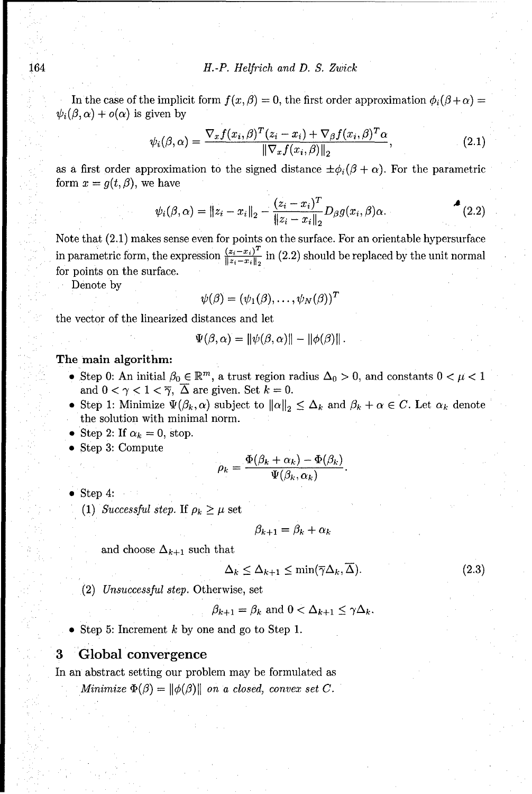In the case of the implicit form  $f(x, \beta) = 0$ , the first order approximation  $\phi_i(\beta + \alpha) =$  $\psi_i(\beta, \alpha) + o(\alpha)$  is given by

$$
\psi_i(\beta,\alpha) = \frac{\nabla_x f(x_i,\beta)^T (z_i - x_i) + \nabla_{\beta} f(x_i,\beta)^T \alpha}{\|\nabla_x f(x_i,\beta)\|_2},\tag{2.1}
$$

as a first order approximation to the signed distance  $\pm \phi_i(\beta + \alpha)$ . For the parametric form  $x = g(t, \beta)$ , we have

$$
\psi_i(\beta, \alpha) = \|z_i - x_i\|_2 - \frac{(z_i - x_i)^T}{\|z_i - x_i\|_2} D_{\beta} g(x_i, \beta) \alpha.
$$
 (2.2)

Note that (2.1) makes sense even for points on the surface. For an orientable hypersurface in parametric form, the expression  $\frac{(z_i - x_i)^T}{\|z_i - x_i\|_2}$  in (2.2) should be replaced by the unit normal for points on the surface.

Denote by

$$
\psi(\beta)=(\psi_1(\beta),\ldots,\psi_N(\beta))^T
$$

the vector of the linearized distances and let

$$
\Psi(\beta,\alpha)=\|\psi(\beta,\alpha)\|-\|\phi(\beta)\|.
$$

The main algorithm:

- Step 0: An initial  $\beta_0 \in \mathbb{R}^m$ , a trust region radius  $\Delta_0 > 0$ , and constants  $0 < \mu < 1$ and  $0 < \gamma < 1 < \overline{\gamma}$ ,  $\overline{\Delta}$  are given. Set  $k = 0$ .
- Step 1: Minimize  $\Psi(\beta_k, \alpha)$  subject to  $\|\alpha\|_2 \leq \Delta_k$  and  $\beta_k + \alpha \in C$ . Let  $\alpha_k$  denote the solution with minimal norm.
- Step 2: If  $\alpha_k = 0$ , stop.
- Step 3: Compute

$$
\rho_k = \frac{\Phi(\beta_k + \alpha_k) - \Phi(\beta_k)}{\Psi(\beta_k, \alpha_k)}
$$

 $\bullet$  Step 4:

(1) *Successful step.* If  $\rho_k \geq \mu$  set

$$
\beta_{k+1} = \beta_k + \alpha_k
$$

and choose  $\Delta_{k+1}$  such that

$$
\Delta_k \le \Delta_{k+1} \le \min(\overline{\gamma}\Delta_k, \overline{\Delta}).\tag{2.3}
$$

(2) *Unsuccessful step.* Otherwise, set

 $\beta_{k+1} = \beta_k$  and  $0 < \Delta_{k+1} \leq \gamma \Delta_k$ .

• Step 5: Increment  $k$  by one and go to Step 1.

## **3** Global convergence

In an abstract setting our problem may be formulated as

Minimize  $\Phi(\beta) = ||\phi(\beta)||$  on a closed, convex set C.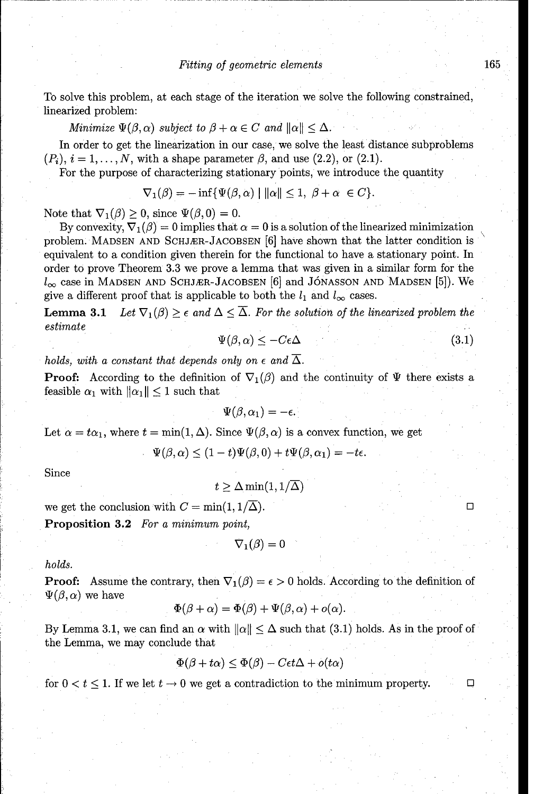To solve this problem, at each stage of the iteration we solve the following constrained, linearized problem:

Minimize  $\Psi(\beta, \alpha)$  subject to  $\beta + \alpha \in C$  and  $\|\alpha\| \leq \Delta$ .

In order to get the linearization in our case, we solve the least distance subproblems  $(P_i)$ ,  $i = 1, \ldots, N$ , with a shape parameter  $\beta$ , and use  $(2.2)$ , or  $(2.1)$ .

For the purpose of characterizing stationary points, we introduce the quantity

$$
\nabla_1(\beta) = -\inf \{ \Psi(\beta, \alpha) \mid ||\alpha|| \le 1, \ \beta + \alpha \ \in C \}.
$$

Note that  $\nabla_1(\beta) \geq 0$ , since  $\Psi(\beta, 0) = 0$ .

By convexity,  $\nabla_1(\beta) = 0$  implies that  $\alpha = 0$  is a solution of the linearized minimization problem. MADSEN AND SCHJÆR-JACOBSEN [6] have shown that the latter condition is equivalent to a condition given therein for the functional to have a stationary point. In order to prove Theorem 3.3 we prove a lemma that was given in a similar form for the  $l_{\infty}$  case in MADSEN AND SCHJÆR-JACOBSEN [6] and JÓNASSON AND MADSEN [5]). We give a different proof that is applicable to both the  $l_1$  and  $l_\infty$  cases.

**Lemma 3.1** Let  $\nabla_1(\beta) \geq \epsilon$  and  $\Delta \leq \overline{\Delta}$ . For the solution of the linearized problem the estimate

$$
\Psi(\beta,\alpha) \le -C\epsilon\Delta\tag{3.1}
$$

*holds, with a constant that depends only on*  $\epsilon$  *and*  $\overline{\Delta}$ .

**Proof:** According to the definition of  $\nabla_1(\beta)$  and the continuity of  $\Psi$  there exists a feasible  $\alpha_1$  with  $\|\alpha_1\| \leq 1$  such that

$$
\Psi(\beta,\alpha_1)=-\epsilon
$$

Let  $\alpha = t\alpha_1$ , where  $t = \min(1, \Delta)$ . Since  $\Psi(\beta, \alpha)$  is a convex function, we get

 $\Psi(\beta, \alpha) < (1-t)\Psi(\beta, 0) + t\Psi(\beta, \alpha_1) = -te.$ 

Since

$$
t \geq \Delta \min(1, 1/\overline{\Delta})
$$

we get the conclusion with  $C = min(1, 1/\overline{\Delta})$ .

Proposition **3.2** For a minimum point,

$$
\nabla_1(\beta)=0
$$

*holds.*

**Proof:** Assume the contrary, then  $\nabla_1(\beta) = \epsilon > 0$  holds. According to the definition of  $\Psi(\beta,\alpha)$  we have

$$
\Phi(\beta + \alpha) = \Phi(\beta) + \Psi(\beta, \alpha) + o(\alpha).
$$

By Lemma 3.1, we can find an  $\alpha$  with  $\|\alpha\| \leq \Delta$  such that (3.1) holds. As in the proof of the Lemma, we may conclude that

$$
\Phi(\beta + t\alpha) \le \Phi(\beta) - C\epsilon t \Delta + o(t\alpha)
$$

for  $0 < t \leq 1$ . If we let  $t \to 0$  we get a contradiction to the minimum property.

 $\Box$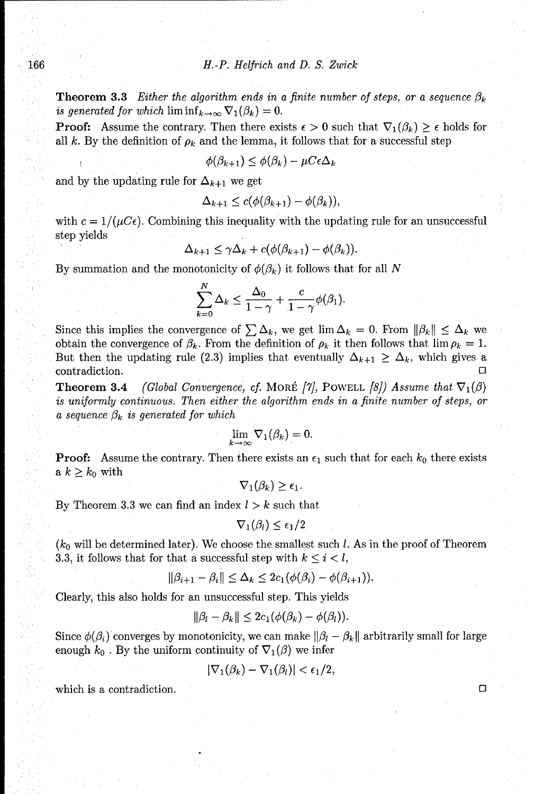**Theorem 3.3** *Either the algorithm ends in a finite number of steps, or a sequence*  $\beta_k$ *is generated for which*  $\liminf_{k\to\infty} \nabla_1(\beta_k) = 0.$ 

**Proof:** Assume the contrary. Then there exists  $\epsilon > 0$  such that  $\nabla_1(\beta_k) \geq \epsilon$  holds for all k. By the definition of  $\rho_k$  and the lemma, it follows that for a successful step

$$
\phi(\beta_{k+1}) \leq \phi(\beta_k) - \mu C \epsilon \Delta_k
$$

and by the updating rule for  $\Delta_{k+1}$  we get

$$
\Delta_{k+1} \leq c(\phi(\beta_{k+1}) - \phi(\beta_k)),
$$

with  $c = 1/(uC_{\epsilon})$ . Combining this inequality with the updating rule for an unsuccessful step yields

$$
\Delta_{k+1} \leq \gamma \Delta_k + c(\phi(\beta_{k+1}) - \phi(\beta_k)).
$$

By summation and the monotonicity of  $\phi(\beta_k)$  it follows that for all *N* 

$$
\sum_{k=0}^N \Delta_k \leq \frac{\Delta_0}{1-\gamma} + \frac{c}{1-\gamma} \phi(\beta_1).
$$

Since this implies the convergence of  $\sum \Delta_k$ , we get  $\lim \Delta_k = 0$ . From  $\|\beta_k\| \leq \Delta_k$  we obtain the convergence of  $\beta_k$ . From the definition of  $\rho_k$  it then follows that  $\lim \rho_k = 1$ . But then the updating rule (2.3) implies that eventually  $\Delta_{k+1} \geq \Delta_k$ , which gives a contradiction.

**Theorem 3.4** *(Global Convergence, cf. MORÉ [7], POWELL [8]) Assume that*  $\nabla_1(\beta)$ is uniformly continuous. *Then either the algorithm ends* in a finite number *of steps, or*  $a$  sequence  $\beta_k$  is generated for which

$$
\lim_{k\to\infty}\nabla_1(\beta_k)=0.
$$

**Proof:** Assume the contrary. Then there exists an  $\epsilon_1$  such that for each  $k_0$  there exists a  $k \geq k_0$  with

 $\nabla_1(\beta_k) \geq \epsilon_1.$ 

By Theorem 3.3 we can find an index  $l > k$  such that

$$
\nabla_1(\beta_l) \leq \epsilon_1/2
$$

*(k0* will be determined later). We choose the smallest such *I.* As in the proof of Theorem 3.3, it follows that for that a successful step with  $k \leq i \leq l$ ,

$$
\|\beta_{i+1}-\beta_i\|\leq \Delta_k\leq 2c_1(\phi(\beta_i)-\phi(\beta_{i+1})).
$$

Clearly, this also holds for an unsuccessful step. This yields

$$
\|\beta_l-\beta_k\|\leq 2c_1(\phi(\beta_k)-\phi(\beta_l)).
$$

Since  $\phi(\beta_i)$  converges by monotonicity, we can make  $\|\beta_i - \beta_k\|$  arbitrarily small for large enough  $k_0$ . By the uniform continuity of  $\nabla_1(\beta)$  we infer

$$
|\nabla_1(\beta_k)-\nabla_1(\beta_l)|<\epsilon_1/2,
$$

which is a contradiction. **El**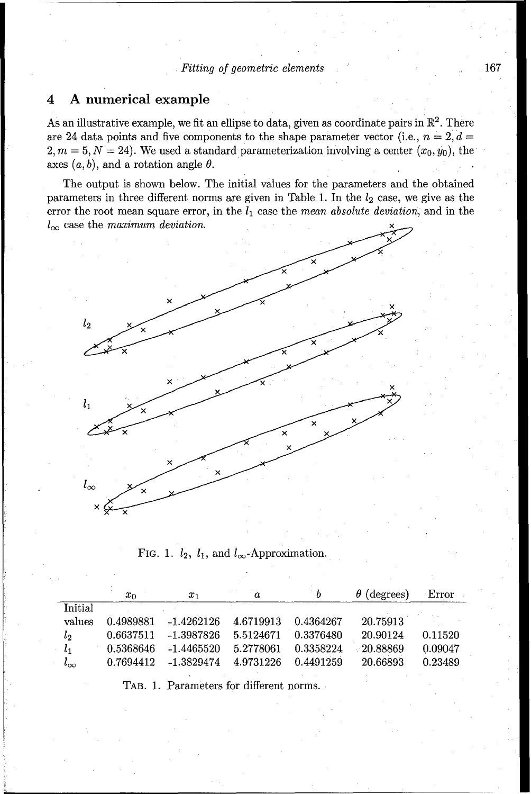## 4 **A** numerical example

As an illustrative example, we fit an ellipse to data, given as coordinate pairs in  $\mathbb{R}^2$ . There are 24 data points and five components to the shape parameter vector (i.e.,  $n = 2, d =$  $2, m = 5, N = 24$ ). We used a standard parameterization involving a center  $(x_0, y_0)$ , the axes  $(a, b)$ , and a rotation angle  $\theta$ .

The output is shown below. The initial values for the parameters and the obtained parameters in three different norms are given in Table 1. In the  $l_2$  case, we give as the error the root mean square error, in the  $l_1$  case the mean absolute deviation, and in the  $l_{\infty}$  case the maximum deviation.



FIG. 1.  $l_2$ ,  $l_1$ , and  $l_{\infty}$ -Approximation.

|              | $x_0$     | $x_{1}$      | a         | b         | $\theta$ (degrees) | Error   |
|--------------|-----------|--------------|-----------|-----------|--------------------|---------|
| Initial      |           |              |           |           |                    |         |
| values       | 0.4989881 | -1.4262126   | 4.6719913 | 0.4364267 | 20.75913           |         |
| $l_2$        | 0.6637511 | -1.3987826   | 5.5124671 | 0.3376480 | 20.90124           | 0.11520 |
| $l_{1}$      | 0.5368646 | $-1.4465520$ | 5.2778061 | 0.3358224 | $-20.88869$        | 0.09047 |
| $l_{\infty}$ | 0.7694412 | -1.3829474   | 4.9731226 | 0.4491259 | 20.66893           | 0.23489 |
|              |           |              |           |           |                    |         |

TAB. 1. Parameters for different norms.